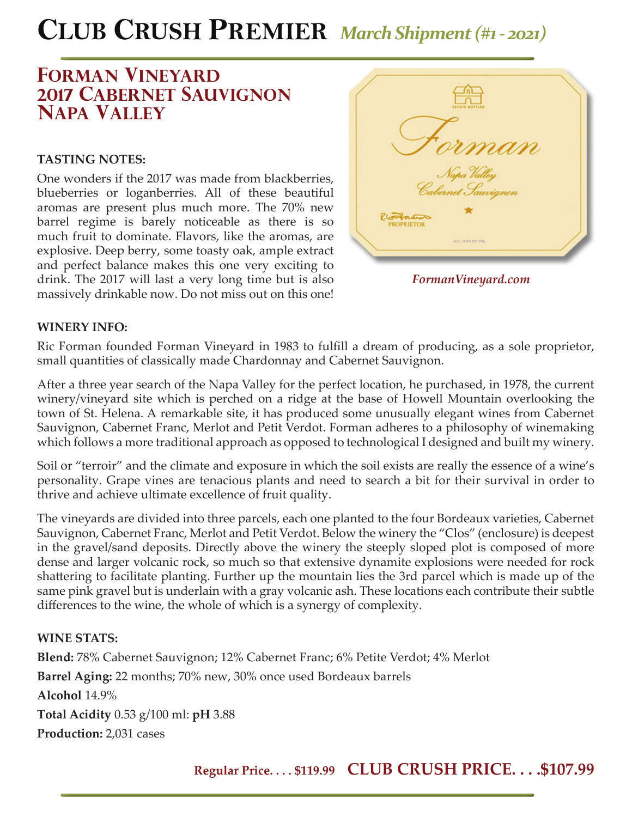# **CLUB CRUSH PREMIER** *March Shipment (#1 - 2021)*

## **forman vineyard 2017 cabernet sauvignon napa valley**

### **TASTING NOTES:**

One wonders if the 2017 was made from blackberries, blueberries or loganberries. All of these beautiful aromas are present plus much more. The 70% new barrel regime is barely noticeable as there is so much fruit to dominate. Flavors, like the aromas, are explosive. Deep berry, some toasty oak, ample extract and perfect balance makes this one very exciting to drink. The 2017 will last a very long time but is also massively drinkable now. Do not miss out on this one!



*FormanVineyard.com*

#### **WINERY INFO:**

Ric Forman founded Forman Vineyard in 1983 to fulfill a dream of producing, as a sole proprietor, small quantities of classically made Chardonnay and Cabernet Sauvignon.

After a three year search of the Napa Valley for the perfect location, he purchased, in 1978, the current winery/vineyard site which is perched on a ridge at the base of Howell Mountain overlooking the town of St. Helena. A remarkable site, it has produced some unusually elegant wines from Cabernet Sauvignon, Cabernet Franc, Merlot and Petit Verdot. Forman adheres to a philosophy of winemaking which follows a more traditional approach as opposed to technological I designed and built my winery.

Soil or "terroir" and the climate and exposure in which the soil exists are really the essence of a wine's personality. Grape vines are tenacious plants and need to search a bit for their survival in order to thrive and achieve ultimate excellence of fruit quality.

The vineyards are divided into three parcels, each one planted to the four Bordeaux varieties, Cabernet Sauvignon, Cabernet Franc, Merlot and Petit Verdot. Below the winery the "Clos" (enclosure) is deepest in the gravel/sand deposits. Directly above the winery the steeply sloped plot is composed of more dense and larger volcanic rock, so much so that extensive dynamite explosions were needed for rock shattering to facilitate planting. Further up the mountain lies the 3rd parcel which is made up of the same pink gravel but is underlain with a gray volcanic ash. These locations each contribute their subtle differences to the wine, the whole of which is a synergy of complexity.

### **WINE STATS:**

**Blend:** 78% Cabernet Sauvignon; 12% Cabernet Franc; 6% Petite Verdot; 4% Merlot **Barrel Aging:** 22 months; 70% new, 30% once used Bordeaux barrels **Alcohol** 14.9% **Total Acidity** 0.53 g/100 ml: **pH** 3.88 **Production:** 2,031 cases